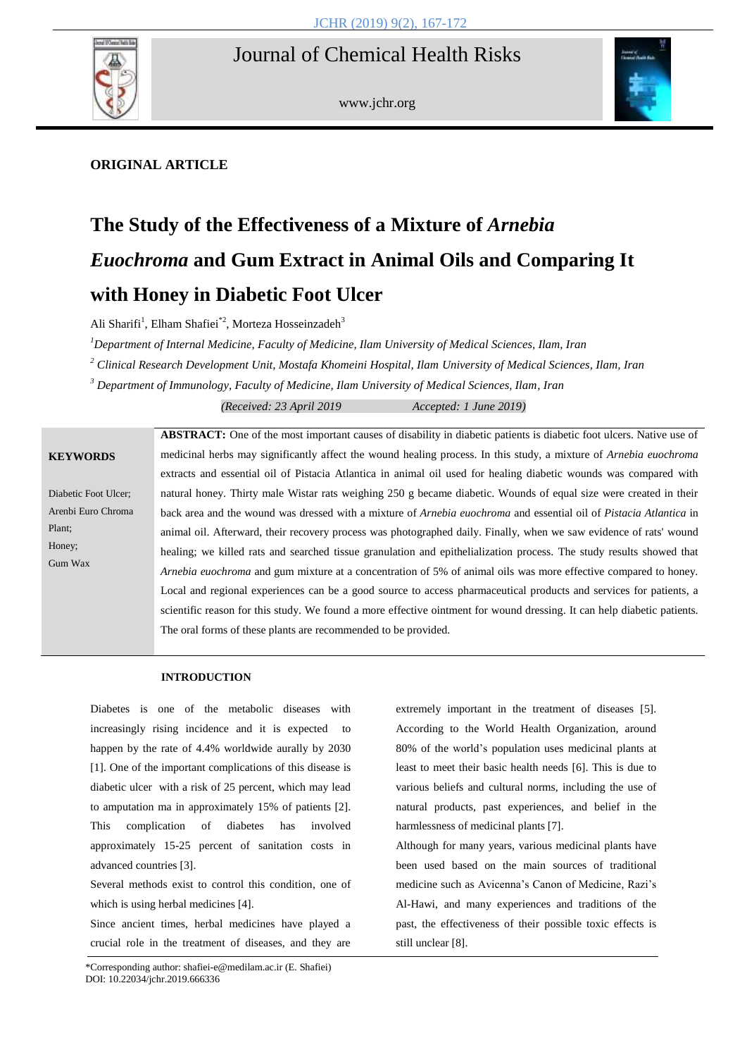

www.jchr.org



# **ORIGINAL ARTICLE**

# **The Study of the Effectiveness of a Mixture of** *Arnebia Euochroma* **and Gum Extract in Animal Oils and Comparing It with Honey in Diabetic Foot Ulcer**

Ali Sharifi<sup>1</sup>, Elham Shafiei<sup>\*2</sup>, Morteza Hosseinzadeh<sup>3</sup>

*<sup>1</sup>Department of Internal Medicine, Faculty of Medicine, Ilam University of Medical Sciences, Ilam, Iran*

*<sup>2</sup> Clinical Research Development Unit, Mostafa Khomeini Hospital, Ilam University of Medical Sciences, Ilam, Iran*

*<sup>3</sup> Department of Immunology, Faculty of Medicine, Ilam University of Medical Sciences, Ilam, Iran*

*(Received: 23 April 2019 Accepted: 1 June 2019)*

Diabetic Foot Ulcer; [Arenbi Euro](https://www.google.com/search?q=Arenbi+Euro+Chroma&spell=1&sa=X&ved=0ahUKEwjXg5L5oMnaAhVI-6QKHTx9BnsQkeECCCEoAA) Chroma Plant; Honey; Gum Wax

**ABSTRACT:** One of the most important causes of disability in diabetic patients is diabetic foot ulcers. Native use of medicinal herbs may significantly affect the wound healing process. In this study, a mixture of *Arnebia euochroma* extracts and essential oil of Pistacia Atlantica in animal oil used for healing diabetic wounds was compared with natural honey. Thirty male Wistar rats weighing 250 g became diabetic. Wounds of equal size were created in their back area and the wound was dressed with a mixture of *Arnebia euochroma* and essential oil of *Pistacia Atlantica* in animal oil. Afterward, their recovery process was photographed daily. Finally, when we saw evidence of rats' wound healing; we killed rats and searched tissue granulation and epithelialization process. The study results showed that *Arnebia euochroma* and gum mixture at a concentration of 5% of animal oils was more effective compared to honey. Local and regional experiences can be a good source to access pharmaceutical products and services for patients, a scientific reason for this study. We found a more effective ointment for wound dressing. It can help diabetic patients. The oral forms of these plants are recommended to be provided.

# **INTRODUCTION**

Diabetes is one of the metabolic diseases with increasingly rising incidence and it is expected to happen by the rate of 4.4% worldwide aurally by 2030 [1]. One of the important complications of this disease is diabetic ulcer with a risk of 25 percent, which may lead to amputation ma in approximately 15% of patients [2]. This complication of diabetes has involved approximately 15-25 percent of sanitation costs in advanced countries [3].

Several methods exist to control this condition, one of which is using herbal medicines [4].

Since ancient times, herbal medicines have played a crucial role in the treatment of diseases, and they are

extremely important in the treatment of diseases [5]. According to the World Health Organization, around 80% of the world's population uses medicinal plants at least to meet their basic health needs [6]. This is due to various beliefs and cultural norms, including the use of natural products, past experiences, and belief in the harmlessness of medicinal plants [7].

Although for many years, various medicinal plants have been used based on the main sources of traditional medicine such as Avicenna's Canon of Medicine, Razi's Al-Hawi, and many experiences and traditions of the past, the effectiveness of their possible toxic effects is still unclear [8].

<sup>\*</sup>Corresponding author: shafiei-e@medilam.ac.ir (E. Shafiei) DOI: 10.22034/jchr.2019.666336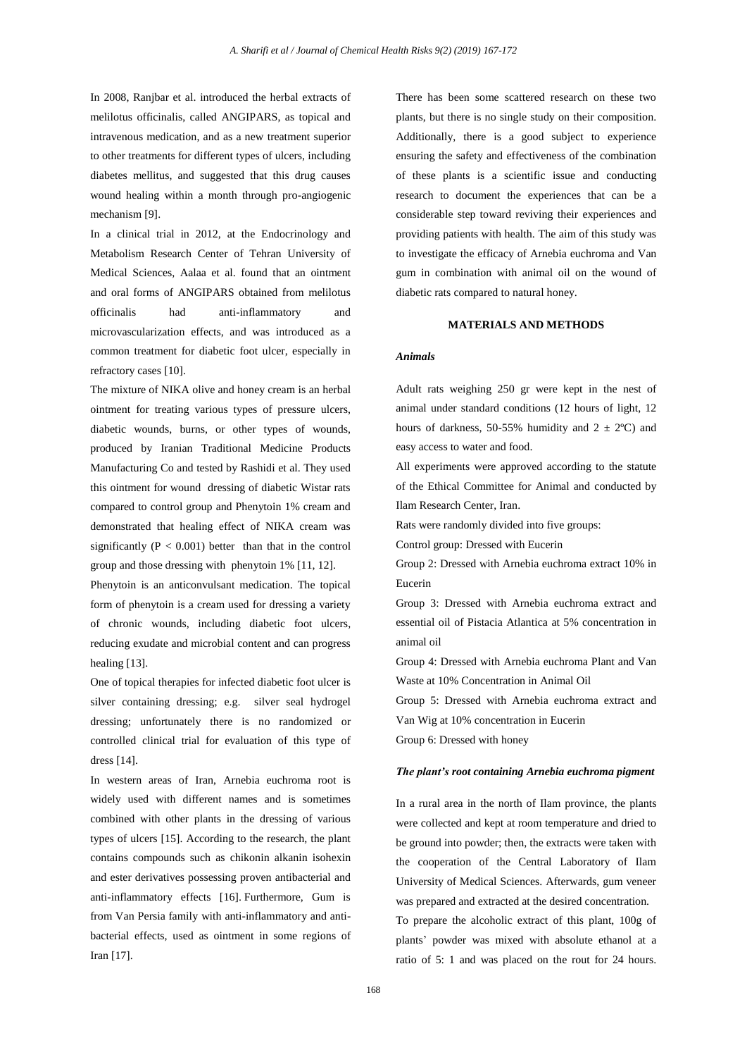In 2008, Ranjbar et al. introduced the herbal extracts of melilotus officinalis, called ANGIPARS, as topical and intravenous medication, and as a new treatment superior to other treatments for different types of ulcers, including diabetes mellitus, and suggested that this drug causes wound healing within a month through pro-angiogenic mechanism [9].

In a clinical trial in 2012, at the Endocrinology and Metabolism Research Center of Tehran University of Medical Sciences, Aalaa et al. found that an ointment and oral forms of ANGIPARS obtained from melilotus officinalis had anti-inflammatory and microvascularization effects, and was introduced as a common treatment for diabetic foot ulcer, especially in refractory cases [10].

The mixture of NIKA olive and honey cream is an herbal ointment for treating various types of pressure ulcers, diabetic wounds, burns, or other types of wounds, produced by Iranian Traditional Medicine Products Manufacturing Co and tested by Rashidi et al. They used this ointment for wound dressing of diabetic Wistar rats compared to control group and Phenytoin 1% cream and demonstrated that healing effect of NIKA cream was significantly  $(P < 0.001)$  better than that in the control group and those dressing with phenytoin 1% [11, 12].

Phenytoin is an anticonvulsant medication. The topical form of phenytoin is a cream used for dressing a variety of chronic wounds, including diabetic foot ulcers, reducing exudate and microbial content and can progress healing [13].

One of topical therapies for infected diabetic foot ulcer is silver containing dressing; e.g. silver seal hydrogel dressing; unfortunately there is no randomized or controlled clinical trial for evaluation of this type of dress [14].

In western areas of Iran, Arnebia euchroma root is widely used with different names and is sometimes combined with other plants in the dressing of various types of ulcers [15]. According to the research, the plant contains compounds such as chikonin alkanin isohexin and ester derivatives possessing proven antibacterial and anti-inflammatory effects [16]. Furthermore, Gum is from Van Persia family with anti-inflammatory and antibacterial effects, used as ointment in some regions of Iran [17].

There has been some scattered research on these two plants, but there is no single study on their composition. Additionally, there is a good subject to experience ensuring the safety and effectiveness of the combination of these plants is a scientific issue and conducting research to document the experiences that can be a considerable step toward reviving their experiences and providing patients with health. The aim of this study was to investigate the efficacy of Arnebia [euchroma](https://www.google.com/search?q=Arenbi+Euro+Chroma&spell=1&sa=X&ved=0ahUKEwjXg5L5oMnaAhVI-6QKHTx9BnsQkeECCCEoAA) and Van gum in combination with animal oil on the wound of diabetic rats compared to natural honey.

# **MATERIALS AND METHODS**

#### *Animals*

Adult rats weighing 250 gr were kept in the nest of animal under standard conditions (12 hours of light, 12 hours of darkness, 50-55% humidity and  $2 \pm 2$ °C) and easy access to water and food.

All experiments were approved according to the statute of the Ethical Committee for Animal and conducted by Ilam Research Center, Iran.

Rats were randomly divided into five groups:

Control group: Dressed with Eucerin

Group 2: Dressed with Arnebia euchroma extract 10% in Eucerin

Group 3: Dressed with Arnebia euchroma extract and essential oil of Pistacia Atlantica at 5% concentration in animal oil

Group 4: Dressed with Arnebia euchroma Plant and Van Waste at 10% Concentration in Animal Oil

Group 5: Dressed with Arnebia euchroma extract and Van Wig at 10% concentration in Eucerin

Group 6: Dressed with honey

#### *The plant's root containing Arnebia euchroma pigment*

In a rural area in the north of Ilam province, the plants were collected and kept at room temperature and dried to be ground into powder; then, the extracts were taken with the cooperation of the Central Laboratory of Ilam University of Medical Sciences. Afterwards, gum veneer was prepared and extracted at the desired concentration. To prepare the alcoholic extract of this plant, 100g of plants' powder was mixed with absolute ethanol at a ratio of 5: 1 and was placed on the rout for 24 hours.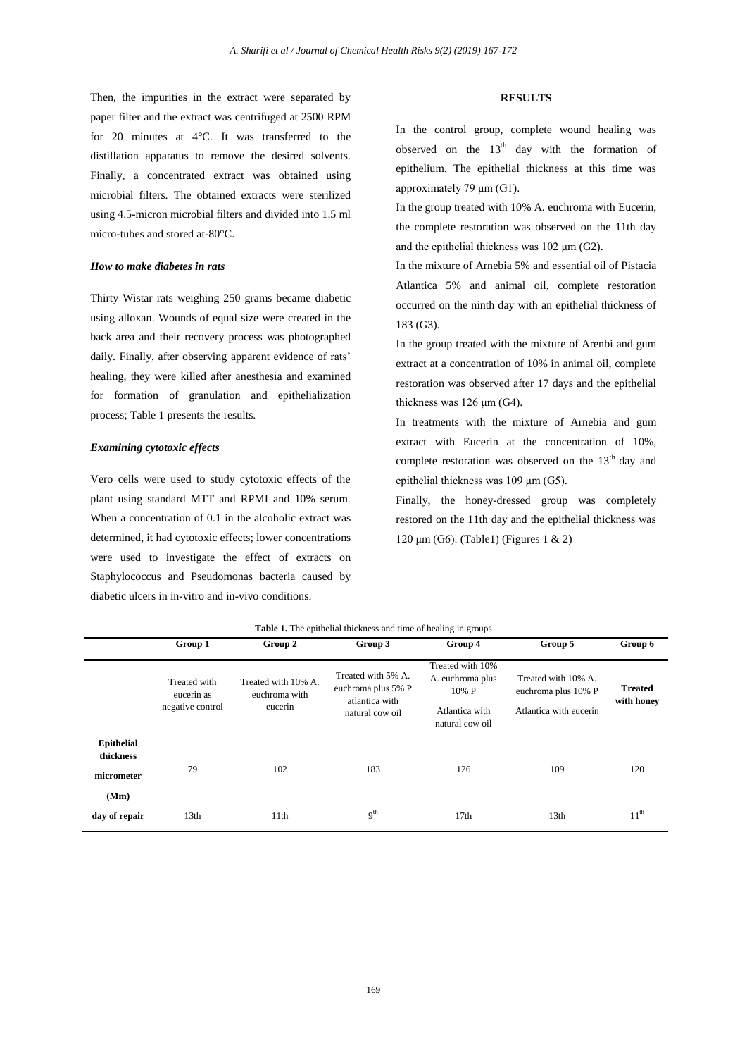Then, the impurities in the extract were separated by paper filter and the extract was centrifuged at 2500 RPM for 20 minutes at 4°C. It was transferred to the distillation apparatus to remove the desired solvents. Finally, a concentrated extract was obtained using microbial filters. The obtained extracts were sterilized using 4.5-micron microbial filters and divided into 1.5 ml micro-tubes and stored at-80°C.

### *How to make diabetes in rats*

Thirty Wistar rats weighing 250 grams became diabetic using alloxan. Wounds of equal size were created in the back area and their recovery process was photographed daily. Finally, after observing apparent evidence of rats' healing, they were killed after anesthesia and examined for formation of granulation and epithelialization process; Table 1 presents the results.

# *Examining cytotoxic effects*

Vero cells were used to study cytotoxic effects of the plant using standard MTT and RPMI and 10% serum. When a concentration of 0.1 in the alcoholic extract was determined, it had cytotoxic effects; lower concentrations were used to investigate the effect of extracts on Staphylococcus and Pseudomonas bacteria caused by diabetic ulcers in in-vitro and in-vivo conditions.

#### **RESULTS**

In the control group, complete wound healing was observed on the  $13<sup>th</sup>$  day with the formation of epithelium. The epithelial thickness at this time was approximately 79 μm (G1).

In the group treated with 10% A. euchroma with Eucerin, the complete restoration was observed on the 11th day and the epithelial thickness was 102 μm (G2).

In the mixture of Arnebia 5% and essential oil of Pistacia Atlantica 5% and animal oil, complete restoration occurred on the ninth day with an epithelial thickness of 183 (G3).

In the group treated with the mixture of Arenbi and gum extract at a concentration of 10% in animal oil, complete restoration was observed after 17 days and the epithelial thickness was 126 μm (G4).

In treatments with the mixture of Arnebia and gum extract with Eucerin at the concentration of 10%, complete restoration was observed on the  $13<sup>th</sup>$  day and epithelial thickness was 109 μm (G5).

Finally, the honey-dressed group was completely restored on the 11th day and the epithelial thickness was 120 μm (G6). (Table1) (Figures 1 & 2)

|                                                      | Group 1                                        | Group 2                                         | <b>Table 1.</b> The epithelial thickness and time of healing in groups<br>Group 3 | Group 4                                                                            | Group 5                                                              | Group 6                      |
|------------------------------------------------------|------------------------------------------------|-------------------------------------------------|-----------------------------------------------------------------------------------|------------------------------------------------------------------------------------|----------------------------------------------------------------------|------------------------------|
|                                                      | Treated with<br>eucerin as<br>negative control | Treated with 10% A.<br>euchroma with<br>eucerin | Treated with 5% A.<br>euchroma plus 5% P<br>atlantica with<br>natural cow oil     | Treated with 10%<br>A. euchroma plus<br>10% P<br>Atlantica with<br>natural cow oil | Treated with 10% A.<br>euchroma plus 10% P<br>Atlantica with eucerin | <b>Treated</b><br>with honey |
| <b>Epithelial</b><br>thickness<br>micrometer<br>(Mm) | 79                                             | 102                                             | 183                                                                               | 126                                                                                | 109                                                                  | 120                          |
| day of repair                                        | 13th                                           | 11th                                            | 9 <sup>th</sup>                                                                   | 17th                                                                               | 13 <sub>th</sub>                                                     | 11 <sup>th</sup>             |

**Table 1.** The epithelial thickness and time of healing in groups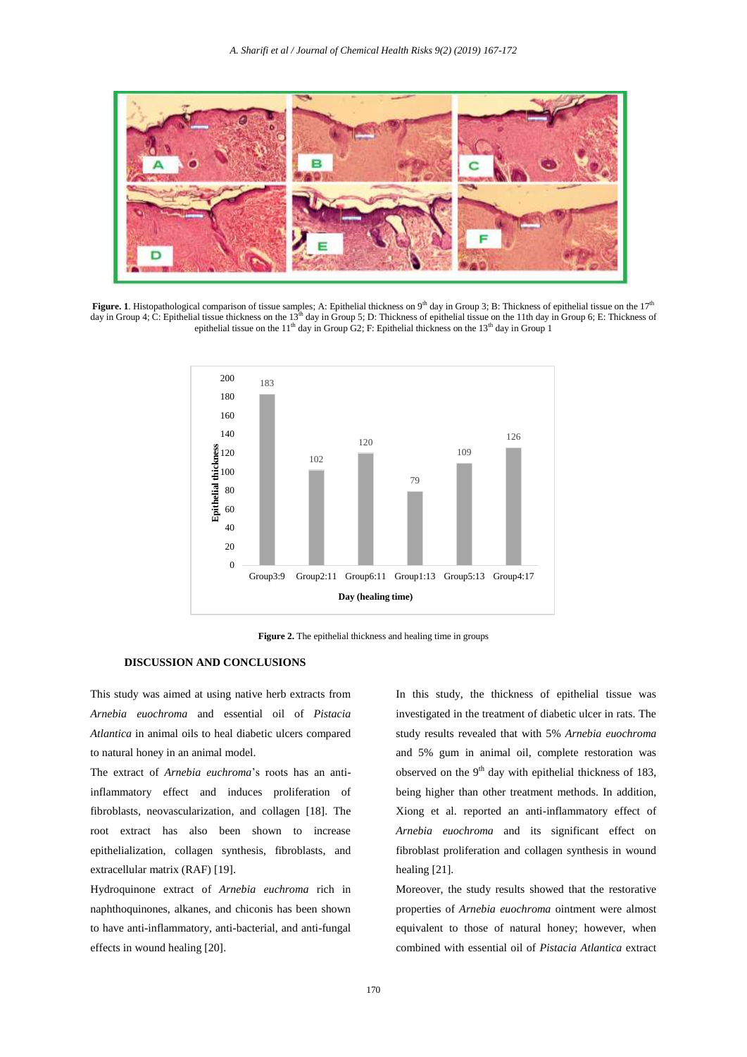

**Figure. 1**. Histopathological comparison of tissue samples; A: Epithelial thickness on 9<sup>th</sup> day in Group 3; B: Thickness of epithelial tissue on the 17<sup>th</sup> day in Group 4; C: Epithelial tissue thickness on the 13<sup>th</sup> day in Group 5; D: Thickness of epithelial tissue on the 11th day in Group 6; E: Thickness of epithelial tissue on the 11<sup>th</sup> day in Group  $G2$ ; F: Epithelial thickness on the 13<sup>th</sup> day in Group 1



**Figure 2.** The epithelial thickness and healing time in groups

#### **DISCUSSION AND CONCLUSIONS**

This study was aimed at using native herb extracts from *Arnebia euochroma* and essential oil of *Pistacia Atlantica* in animal oils to heal diabetic ulcers compared to natural honey in an animal model.

The extract of *Arnebia euchroma*'s roots has an antiinflammatory effect and induces proliferation of fibroblasts, neovascularization, and collagen [18]. The root extract has also been shown to increase epithelialization, collagen synthesis, fibroblasts, and extracellular matrix (RAF) [19].

Hydroquinone extract of *Arnebia euchroma* rich in naphthoquinones, alkanes, and chiconis has been shown to have anti-inflammatory, anti-bacterial, and anti-fungal effects in wound healing [20].

In this study, the thickness of epithelial tissue was investigated in the treatment of diabetic ulcer in rats. The study results revealed that with 5% *Arnebia euochroma* and 5% gum in animal oil, complete restoration was observed on the  $9<sup>th</sup>$  day with epithelial thickness of 183, being higher than other treatment methods. In addition, Xiong et al. reported an anti-inflammatory effect of *Arnebia euochroma* and its significant effect on fibroblast proliferation and collagen synthesis in wound healing [21].

Moreover, the study results showed that the restorative properties of *Arnebia euochroma* ointment were almost equivalent to those of natural honey; however, when combined with essential oil of *Pistacia Atlantica* extract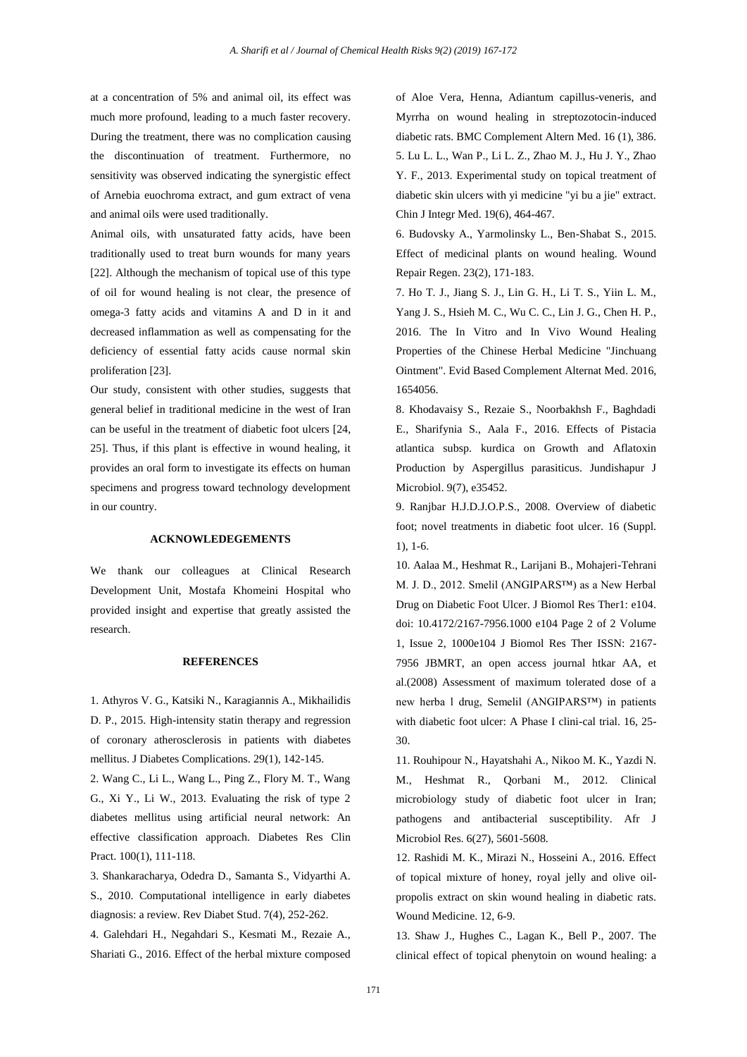at a concentration of 5% and animal oil, its effect was much more profound, leading to a much faster recovery. During the treatment, there was no complication causing the discontinuation of treatment. Furthermore, no sensitivity was observed indicating the synergistic effect of Arnebia euochroma extract, and gum extract of vena and animal oils were used traditionally.

Animal oils, with unsaturated fatty acids, have been traditionally used to treat burn wounds for many years [22]. Although the mechanism of topical use of this type of oil for wound healing is not clear, the presence of omega-3 fatty acids and vitamins A and D in it and decreased inflammation as well as compensating for the deficiency of essential fatty acids cause normal skin proliferation [23].

Our study, consistent with other studies, suggests that general belief in traditional medicine in the west of Iran can be useful in the treatment of diabetic foot ulcers [24, 25]. Thus, if this plant is effective in wound healing, it provides an oral form to investigate its effects on human specimens and progress toward technology development in our country.

#### **ACKNOWLEDEGEMENTS**

We thank our colleagues at Clinical Research Development Unit, Mostafa Khomeini Hospital who provided insight and expertise that greatly assisted the research.

#### **REFERENCES**

1. Athyros V. G., Katsiki N., Karagiannis A., Mikhailidis D. P., 2015. High-intensity statin therapy and regression of coronary atherosclerosis in patients with diabetes mellitus. J Diabetes Complications. 29(1), 142-145.

2. Wang C., Li L., Wang L., Ping Z., Flory M. T., Wang G., Xi Y., Li W., 2013. Evaluating the risk of type 2 diabetes mellitus using artificial neural network: An effective classification approach. Diabetes Res Clin Pract. 100(1), 111-118.

3. Shankaracharya, Odedra D., Samanta S., Vidyarthi A. S., 2010. Computational intelligence in early diabetes diagnosis: a review. Rev Diabet Stud. 7(4), 252-262.

4. Galehdari H., Negahdari S., Kesmati M., Rezaie A., Shariati G., 2016. Effect of the herbal mixture composed of Aloe Vera, Henna, Adiantum capillus-veneris, and Myrrha on wound healing in streptozotocin-induced diabetic rats. BMC Complement Altern Med. 16 (1), 386. 5. Lu L. L., Wan P., Li L. Z., Zhao M. J., Hu J. Y., Zhao Y. F., 2013. Experimental study on topical treatment of diabetic skin ulcers with yi medicine "yi bu a jie" extract. Chin J Integr Med. 19(6), 464-467.

6. Budovsky A., Yarmolinsky L., Ben-Shabat S., 2015. Effect of medicinal plants on wound healing. Wound Repair Regen. 23(2), 171-183.

7. Ho T. J., Jiang S. J., Lin G. H., Li T. S., Yiin L. M., Yang J. S., Hsieh M. C., Wu C. C., Lin J. G., Chen H. P., 2016. The In Vitro and In Vivo Wound Healing Properties of the Chinese Herbal Medicine "Jinchuang Ointment". Evid Based Complement Alternat Med. 2016, 1654056.

8. Khodavaisy S., Rezaie S., Noorbakhsh F., Baghdadi E., Sharifynia S., Aala F., 2016. Effects of Pistacia atlantica subsp. kurdica on Growth and Aflatoxin Production by Aspergillus parasiticus. Jundishapur J Microbiol. 9(7), e35452.

9. Ranjbar H.J.D.J.O.P.S., 2008. Overview of diabetic foot; novel treatments in diabetic foot ulcer. 16 (Suppl. 1), 1-6.

10. Aalaa M., Heshmat R., Larijani B., Mohajeri-Tehrani M. J. D., 2012. Smelil (ANGIPARS™) as a New Herbal Drug on Diabetic Foot Ulcer. J Biomol Res Ther1: e104. doi: 10.4172/2167-7956.1000 e104 Page 2 of 2 Volume 1, Issue 2, 1000e104 J Biomol Res Ther ISSN: 2167- 7956 JBMRT, an open access journal htkar AA, et al.(2008) Assessment of maximum tolerated dose of a new herba l drug, Semelil (ANGIPARS™) in patients with diabetic foot ulcer: A Phase I clini-cal trial. 16, 25- 30.

11. Rouhipour N., Hayatshahi A., Nikoo M. K., Yazdi N. M., Heshmat R., Qorbani M., 2012. Clinical microbiology study of diabetic foot ulcer in Iran; pathogens and antibacterial susceptibility. Afr J Microbiol Res. 6(27), 5601-5608.

12. Rashidi M. K., Mirazi N., Hosseini A., 2016. Effect of topical mixture of honey, royal jelly and olive oilpropolis extract on skin wound healing in diabetic rats. Wound Medicine. 12, 6-9.

13. Shaw J., Hughes C., Lagan K., Bell P., 2007. The clinical effect of topical phenytoin on wound healing: a